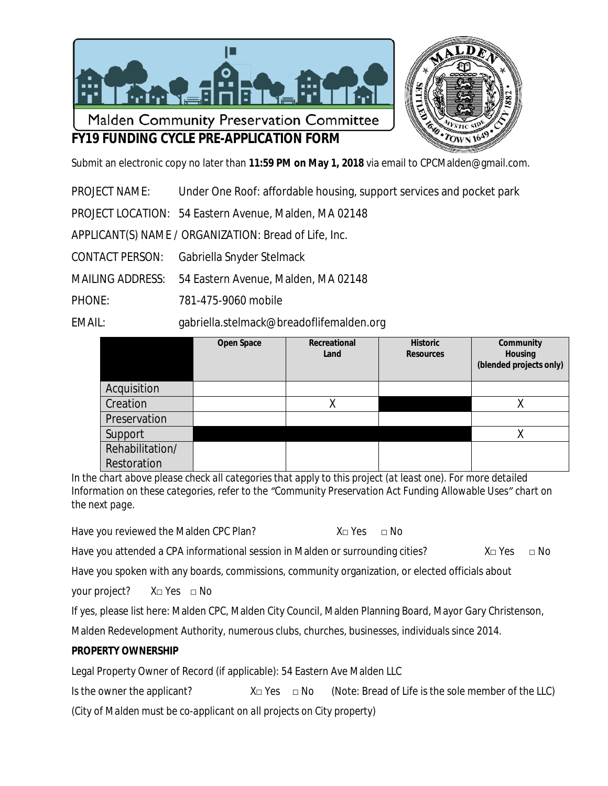

# **FY19 FUNDING CYCLE PRE-APPLICATION FORM**

Submit an electronic copy no later than **11:59 PM on May 1, 2018** via email to [CPCMalden@gmail.com](mailto:CPCMalden@gmail.com).

PROJECT NAME: Under One Roof: affordable housing, support services and pocket park

PROJECT LOCATION: 54 Eastern Avenue, Malden, MA 02148

APPLICANT(S) NAME / ORGANIZATION: Bread of Life, Inc.

CONTACT PERSON: Gabriella Snyder Stelmack

MAILING ADDRESS: 54 Eastern Avenue, Malden, MA 02148

PHONE: 781-475-9060 mobile

EMAIL: gabriella.stelmack@breadoflifemalden.org

|                 | <b>Open Space</b> | Recreational<br>Land | <b>Historic</b><br><b>Resources</b> | Community<br><b>Housing</b><br>(blended projects only) |
|-----------------|-------------------|----------------------|-------------------------------------|--------------------------------------------------------|
| Acquisition     |                   |                      |                                     |                                                        |
| Creation        |                   |                      |                                     |                                                        |
| Preservation    |                   |                      |                                     |                                                        |
| Support         |                   |                      |                                     |                                                        |
| Rehabilitation/ |                   |                      |                                     |                                                        |
| Restoration     |                   |                      |                                     |                                                        |

*In the chart above please check all categories that apply to this project (at least one). For more detailed Information on these categories, refer to the "Community Preservation Act Funding Allowable Uses" chart on the next page.*

Have you reviewed the Malden CPC Plan?  $X \square Y$ es  $\square$  No

Have you attended a CPA informational session in Malden or surrounding cities?  $X \square Y$ es  $\square N$ o

Have you spoken with any boards, commissions, community organization, or elected officials about

your project? X□ Yes □ No

If yes, please list here: Malden CPC, Malden City Council, Malden Planning Board, Mayor Gary Christenson,

Malden Redevelopment Authority, numerous clubs, churches, businesses, individuals since 2014.

### **PROPERTY OWNERSHIP**

Legal Property Owner of Record (if applicable): 54 Eastern Ave Malden LLC

| Is the owner the applicant?                                            | X□ Yes □ No | (Note: Bread of Life is the sole member of the LLC) |
|------------------------------------------------------------------------|-------------|-----------------------------------------------------|
| (City of Malden must be co-applicant on all projects on City property) |             |                                                     |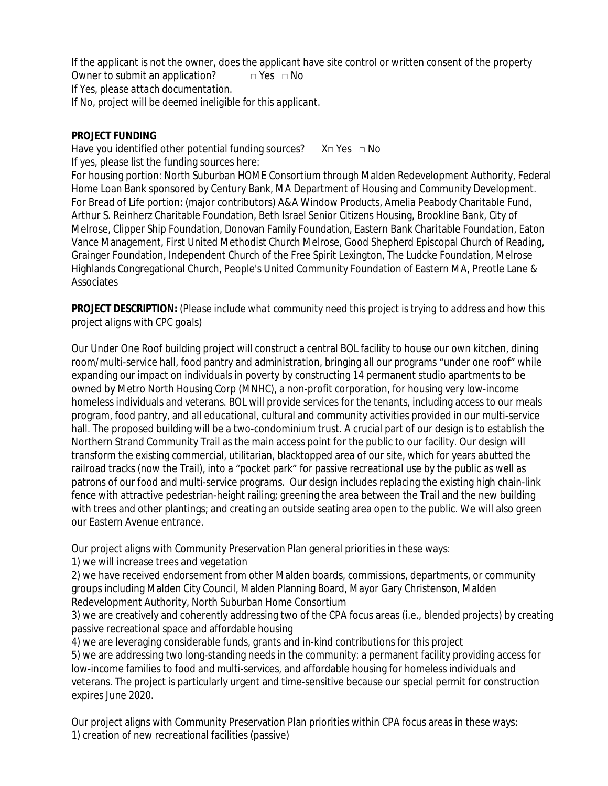If the applicant is not the owner, does the applicant have site control or written consent of the property Owner to submit an application?  $\Box$  Yes  $\Box$  No *If Yes, please attach documentation. If No, project will be deemed ineligible for this applicant.*

#### **PROJECT FUNDING**

Have you identified other potential funding sources?  $X \square Y$ es  $\square$  No If yes, please list the funding sources here:

For housing portion: North Suburban HOME Consortium through Malden Redevelopment Authority, Federal Home Loan Bank sponsored by Century Bank, MA Department of Housing and Community Development. For Bread of Life portion: (major contributors) A&A Window Products, Amelia Peabody Charitable Fund, Arthur S. Reinherz Charitable Foundation, Beth Israel Senior Citizens Housing, Brookline Bank, City of Melrose, Clipper Ship Foundation, Donovan Family Foundation, Eastern Bank Charitable Foundation, Eaton Vance Management, First United Methodist Church Melrose, Good Shepherd Episcopal Church of Reading, Grainger Foundation, Independent Church of the Free Spirit Lexington, The Ludcke Foundation, Melrose Highlands Congregational Church, People's United Community Foundation of Eastern MA, Preotle Lane & **Associates** 

**PROJECT DESCRIPTION:** *(Please include what community need this project is trying to address and how this project aligns with CPC goals)*

Our Under One Roof building project will construct a central BOL facility to house our own kitchen, dining room/multi-service hall, food pantry and administration, bringing all our programs "under one roof" while expanding our impact on individuals in poverty by constructing 14 permanent studio apartments to be owned by Metro North Housing Corp (MNHC), a non-profit corporation, for housing very low-income homeless individuals and veterans. BOL will provide services for the tenants, including access to our meals program, food pantry, and all educational, cultural and community activities provided in our multi-service hall. The proposed building will be a two-condominium trust. A crucial part of our design is to establish the Northern Strand Community Trail as the main access point for the public to our facility. Our design will transform the existing commercial, utilitarian, blacktopped area of our site, which for years abutted the railroad tracks (now the Trail), into a "pocket park" for passive recreational use by the public as well as patrons of our food and multi-service programs. Our design includes replacing the existing high chain-link fence with attractive pedestrian-height railing; greening the area between the Trail and the new building with trees and other plantings; and creating an outside seating area open to the public. We will also green our Eastern Avenue entrance.

Our project aligns with Community Preservation Plan general priorities in these ways:

1) we will increase trees and vegetation

2) we have received endorsement from other Malden boards, commissions, departments, or community groups including Malden City Council, Malden Planning Board, Mayor Gary Christenson, Malden Redevelopment Authority, North Suburban Home Consortium

3) we are creatively and coherently addressing two of the CPA focus areas (i.e., blended projects) by creating passive recreational space and affordable housing

4) we are leveraging considerable funds, grants and in-kind contributions for this project 5) we are addressing two long-standing needs in the community: a permanent facility providing access for low-income families to food and multi-services, and affordable housing for homeless individuals and veterans. The project is particularly urgent and time-sensitive because our special permit for construction expires June 2020.

Our project aligns with Community Preservation Plan priorities within CPA focus areas in these ways: 1) creation of new recreational facilities (passive)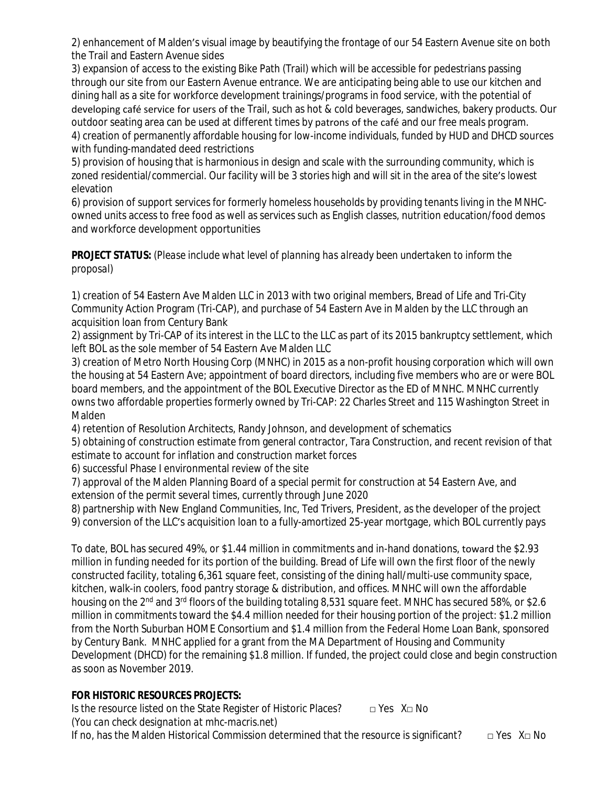2) enhancement of Malden's visual image by beautifying the frontage of our 54 Eastern Avenue site on both the Trail and Eastern Avenue sides

3) expansion of access to the existing Bike Path (Trail) which will be accessible for pedestrians passing through our site from our Eastern Avenue entrance. We are anticipating being able to use our kitchen and dining hall as a site for workforce development trainings/programs in food service, with the potential of developing café service for users of the Trail, such as hot & cold beverages, sandwiches, bakery products. Our outdoor seating area can be used at different times by patrons of the café and our free meals program. 4) creation of permanently affordable housing for low-income individuals, funded by HUD and DHCD sources with funding-mandated deed restrictions

5) provision of housing that is harmonious in design and scale with the surrounding community, which is zoned residential/commercial. Our facility will be 3 stories high and will sit in the area of the site's lowest elevation

6) provision of support services for formerly homeless households by providing tenants living in the MNHCowned units access to free food as well as services such as English classes, nutrition education/food demos and workforce development opportunities

### **PROJECT STATUS:** *(Please include what level of planning has already been undertaken to inform the proposal)*

1) creation of 54 Eastern Ave Malden LLC in 2013 with two original members, Bread of Life and Tri-City Community Action Program (Tri-CAP), and purchase of 54 Eastern Ave in Malden by the LLC through an acquisition loan from Century Bank

2) assignment by Tri-CAP of its interest in the LLC to the LLC as part of its 2015 bankruptcy settlement, which left BOL as the sole member of 54 Eastern Ave Malden LLC

3) creation of Metro North Housing Corp (MNHC) in 2015 as a non-profit housing corporation which will own the housing at 54 Eastern Ave; appointment of board directors, including five members who are or were BOL board members, and the appointment of the BOL Executive Director as the ED of MNHC. MNHC currently owns two affordable properties formerly owned by Tri-CAP: 22 Charles Street and 115 Washington Street in Malden

4) retention of Resolution Architects, Randy Johnson, and development of schematics

5) obtaining of construction estimate from general contractor, Tara Construction, and recent revision of that estimate to account for inflation and construction market forces

6) successful Phase I environmental review of the site

7) approval of the Malden Planning Board of a special permit for construction at 54 Eastern Ave, and extension of the permit several times, currently through June 2020

8) partnership with New England Communities, Inc, Ted Trivers, President, as the developer of the project 9) conversion of the LLC's acquisition loan to a fully-amortized 25-year mortgage, which BOL currently pays

To date, BOL has secured 49%, or \$1.44 million in commitments and in-hand donations, toward the \$2.93 million in funding needed for its portion of the building. Bread of Life will own the first floor of the newly constructed facility, totaling 6,361 square feet, consisting of the dining hall/multi-use community space, kitchen, walk-in coolers, food pantry storage & distribution, and offices. MNHC will own the affordable housing on the 2<sup>nd</sup> and 3<sup>rd</sup> floors of the building totaling 8,531 square feet. MNHC has secured 58%, or \$2.6 million in commitments toward the \$4.4 million needed for their housing portion of the project: \$1.2 million from the North Suburban HOME Consortium and \$1.4 million from the Federal Home Loan Bank, sponsored by Century Bank. MNHC applied for a grant from the MA Department of Housing and Community Development (DHCD) for the remaining \$1.8 million. If funded, the project could close and begin construction as soon as November 2019.

# **FOR HISTORIC RESOURCES PROJECTS:**

Is the resource listed on the State Register of Historic Places? □ Yes X□ No *(You can check designation at mhc-macris.net)* If no, has the Malden Historical Commission determined that the resource is significant?  $\Box$  Yes X $\Box$  No